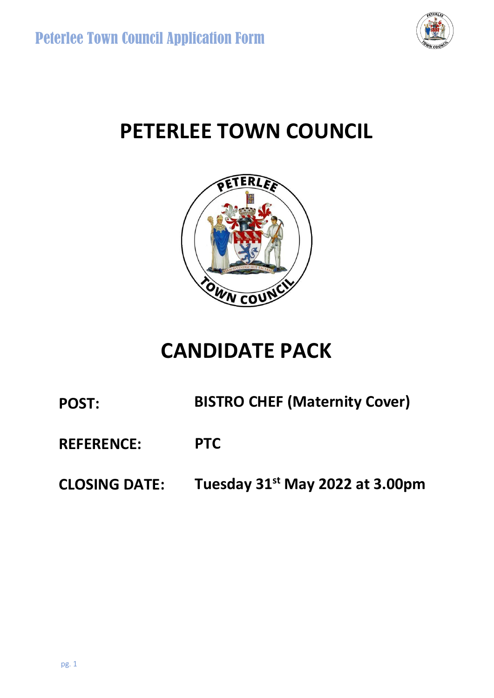



# **CANDIDATE PACK**

**POST: BISTRO CHEF (Maternity Cover)**

**REFERENCE: PTC**

**CLOSING DATE: Tuesday 31st May 2022 at 3.00pm**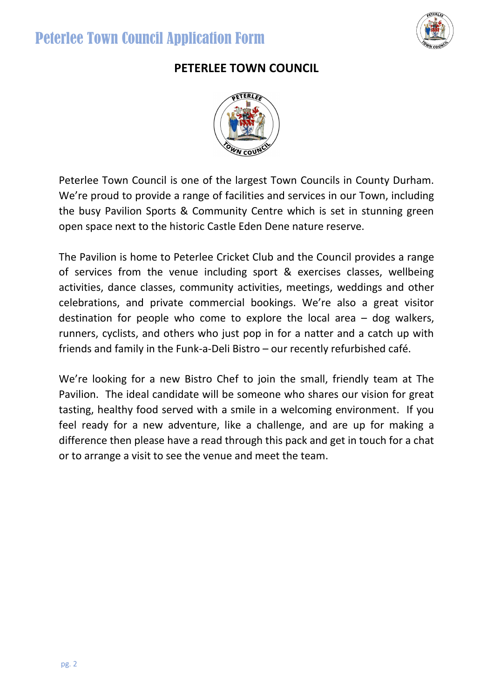



Peterlee Town Council is one of the largest Town Councils in County Durham. We're proud to provide a range of facilities and services in our Town, including the busy Pavilion Sports & Community Centre which is set in stunning green open space next to the historic Castle Eden Dene nature reserve.

The Pavilion is home to Peterlee Cricket Club and the Council provides a range of services from the venue including sport & exercises classes, wellbeing activities, dance classes, community activities, meetings, weddings and other celebrations, and private commercial bookings. We're also a great visitor destination for people who come to explore the local area  $-$  dog walkers, runners, cyclists, and others who just pop in for a natter and a catch up with friends and family in the Funk-a-Deli Bistro – our recently refurbished café.

We're looking for a new Bistro Chef to join the small, friendly team at The Pavilion. The ideal candidate will be someone who shares our vision for great tasting, healthy food served with a smile in a welcoming environment. If you feel ready for a new adventure, like a challenge, and are up for making a difference then please have a read through this pack and get in touch for a chat or to arrange a visit to see the venue and meet the team.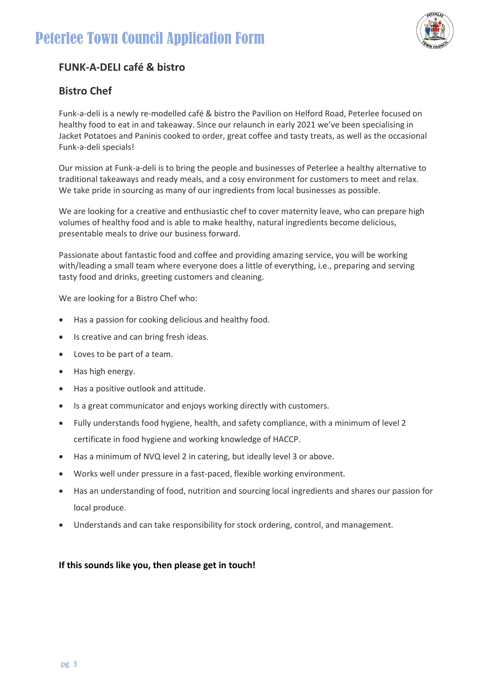

### **FUNK-A-DELI café & bistro**

### **Bistro Chef**

Funk-a-deli is a newly re-modelled café & bistro the Pavilion on Helford Road, Peterlee focused on healthy food to eat in and takeaway. Since our relaunch in early 2021 we've been specialising in Jacket Potatoes and Paninis cooked to order, great coffee and tasty treats, as well as the occasional Funk-a-deli specials!

Our mission at Funk-a-deli is to bring the people and businesses of Peterlee a healthy alternative to traditional takeaways and ready meals, and a cosy environment for customers to meet and relax. We take pride in sourcing as many of our ingredients from local businesses as possible.

We are looking for a creative and enthusiastic chef to cover maternity leave, who can prepare high volumes of healthy food and is able to make healthy, natural ingredients become delicious, presentable meals to drive our business forward.

Passionate about fantastic food and coffee and providing amazing service, you will be working with/leading a small team where everyone does a little of everything, i.e., preparing and serving tasty food and drinks, greeting customers and cleaning.

We are looking for a Bistro Chef who:

- Has a passion for cooking delicious and healthy food.
- Is creative and can bring fresh ideas.
- Loves to be part of a team.
- Has high energy.
- Has a positive outlook and attitude.
- Is a great communicator and enjoys working directly with customers.
- Fully understands food hygiene, health, and safety compliance, with a minimum of level 2 certificate in food hygiene and working knowledge of HACCP.
- Has a minimum of NVQ level 2 in catering, but ideally level 3 or above.
- Works well under pressure in a fast-paced, flexible working environment.
- Has an understanding of food, nutrition and sourcing local ingredients and shares our passion for local produce.
- Understands and can take responsibility for stock ordering, control, and management.

#### **If this sounds like you, then please get in touch!**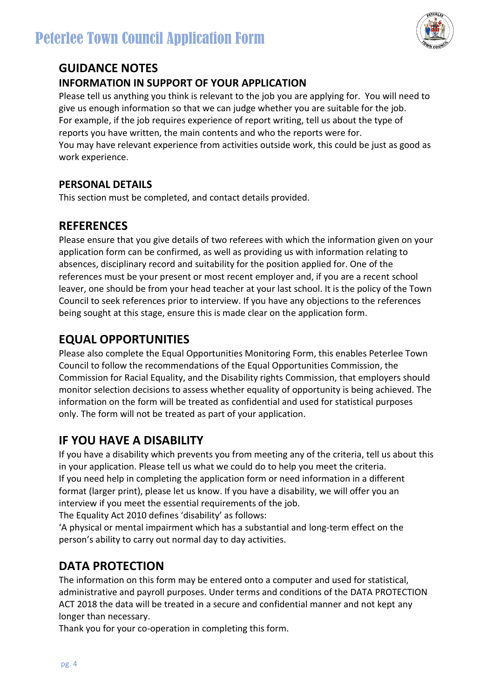

## **GUIDANCE NOTES**

### **INFORMATION IN SUPPORT OF YOUR APPLICATION**

Please tell us anything you think is relevant to the job you are applying for. You will need to give us enough information so that we can judge whether you are suitable for the job. For example, if the job requires experience of report writing, tell us about the type of reports you have written, the main contents and who the reports were for. You may have relevant experience from activities outside work, this could be just as good as work experience.

### **PERSONAL DETAILS**

This section must be completed, and contact details provided.

### **REFERENCES**

Please ensure that you give details of two referees with which the information given on your application form can be confirmed, as well as providing us with information relating to absences, disciplinary record and suitability for the position applied for. One of the references must be your present or most recent employer and, if you are a recent school leaver, one should be from your head teacher at your last school. It is the policy of the Town Council to seek references prior to interview. If you have any objections to the references being sought at this stage, ensure this is made clear on the application form.

### **EQUAL OPPORTUNITIES**

Please also complete the Equal Opportunities Monitoring Form, this enables Peterlee Town Council to follow the recommendations of the Equal Opportunities Commission, the Commission for Racial Equality, and the Disability rights Commission, that employers should monitor selection decisions to assess whether equality of opportunity is being achieved. The information on the form will be treated as confidential and used for statistical purposes only. The form will not be treated as part of your application.

## **IF YOU HAVE A DISABILITY**

If you have a disability which prevents you from meeting any of the criteria, tell us about this in your application. Please tell us what we could do to help you meet the criteria. If you need help in completing the application form or need information in a different format (larger print), please let us know. If you have a disability, we will offer you an interview if you meet the essential requirements of the job.

The Equality Act 2010 defines 'disability' as follows:

'A physical or mental impairment which has a substantial and long-term effect on the person's ability to carry out normal day to day activities.

## **DATA PROTECTION**

The information on this form may be entered onto a computer and used for statistical, administrative and payroll purposes. Under terms and conditions of the DATA PROTECTION ACT 2018 the data will be treated in a secure and confidential manner and not kept any longer than necessary.

Thank you for your co-operation in completing this form.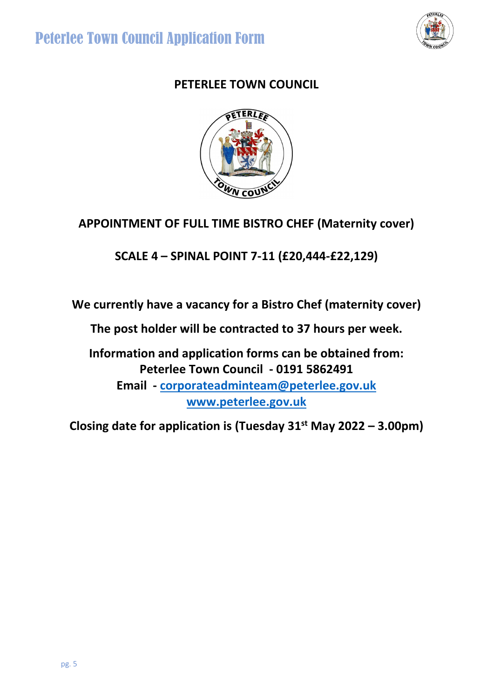



## **APPOINTMENT OF FULL TIME BISTRO CHEF (Maternity cover)**

**SCALE 4 – SPINAL POINT 7-11 (£20,444-£22,129)**

**We currently have a vacancy for a Bistro Chef (maternity cover)**

**The post holder will be contracted to 37 hours per week.**

**Information and application forms can be obtained from: Peterlee Town Council - 0191 5862491 Email - [corporateadminteam@peterlee.gov.uk](mailto:corporateadminteam@peterlee.gov.uk) [www.peterlee.gov.uk](http://www.peterlee.gov.uk/)**

**Closing date for application is (Tuesday 31st May 2022 – 3.00pm)**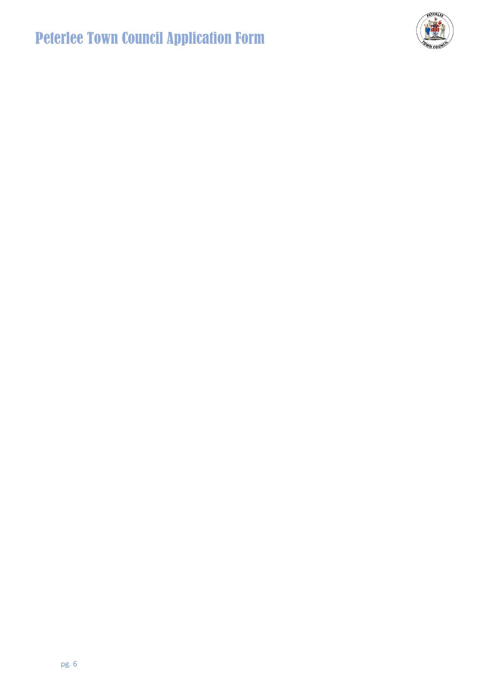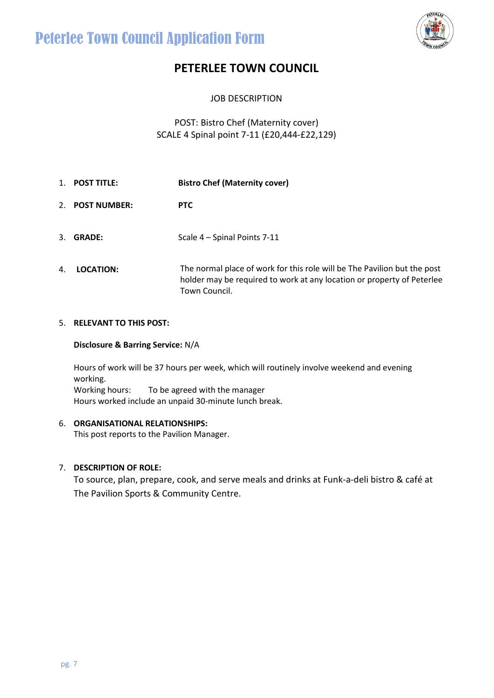



JOB DESCRIPTION

POST: Bistro Chef (Maternity cover) SCALE 4 Spinal point 7-11 (£20,444-£22,129)

1. **POST TITLE: Bistro Chef (Maternity cover)** 2. **POST NUMBER: PTC** 3. **GRADE:** Scale 4 – Spinal Points 7-11 4. **LOCATION:** The normal place of work for this role will be The Pavilion but the post

Town Council.

holder may be required to work at any location or property of Peterlee

5. **RELEVANT TO THIS POST:**

#### **Disclosure & Barring Service:** N/A

Hours of work will be 37 hours per week, which will routinely involve weekend and evening working. Working hours: To be agreed with the manager Hours worked include an unpaid 30-minute lunch break.

#### 6. **ORGANISATIONAL RELATIONSHIPS:**

This post reports to the Pavilion Manager.

#### 7. **DESCRIPTION OF ROLE:**

To source, plan, prepare, cook, and serve meals and drinks at Funk-a-deli bistro & café at The Pavilion Sports & Community Centre.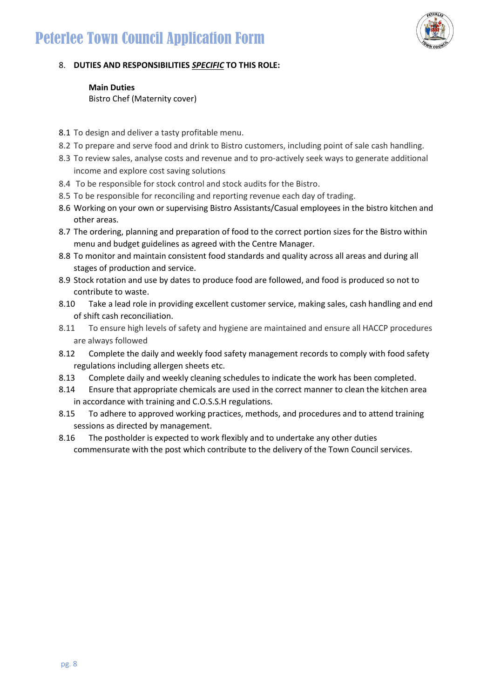

#### 8. **DUTIES AND RESPONSIBILITIES** *SPECIFIC* **TO THIS ROLE:**

#### **Main Duties**

Bistro Chef (Maternity cover)

- 8.1 To design and deliver a tasty profitable menu.
- 8.2 To prepare and serve food and drink to Bistro customers, including point of sale cash handling.
- 8.3 To review sales, analyse costs and revenue and to pro-actively seek ways to generate additional income and explore cost saving solutions
- 8.4 To be responsible for stock control and stock audits for the Bistro.
- 8.5 To be responsible for reconciling and reporting revenue each day of trading.
- 8.6 Working on your own or supervising Bistro Assistants/Casual employees in the bistro kitchen and other areas.
- 8.7 The ordering, planning and preparation of food to the correct portion sizes for the Bistro within menu and budget guidelines as agreed with the Centre Manager.
- 8.8 To monitor and maintain consistent food standards and quality across all areas and during all stages of production and service.
- 8.9 Stock rotation and use by dates to produce food are followed, and food is produced so not to contribute to waste.
- 8.10 Take a lead role in providing excellent customer service, making sales, cash handling and end of shift cash reconciliation.
- 8.11 To ensure high levels of safety and hygiene are maintained and ensure all HACCP procedures are always followed
- 8.12 Complete the daily and weekly food safety management records to comply with food safety regulations including allergen sheets etc.
- 8.13 Complete daily and weekly cleaning schedules to indicate the work has been completed.
- 8.14 Ensure that appropriate chemicals are used in the correct manner to clean the kitchen area in accordance with training and C.O.S.S.H regulations.
- 8.15 To adhere to approved working practices, methods, and procedures and to attend training sessions as directed by management.
- 8.16 The postholder is expected to work flexibly and to undertake any other duties commensurate with the post which contribute to the delivery of the Town Council services.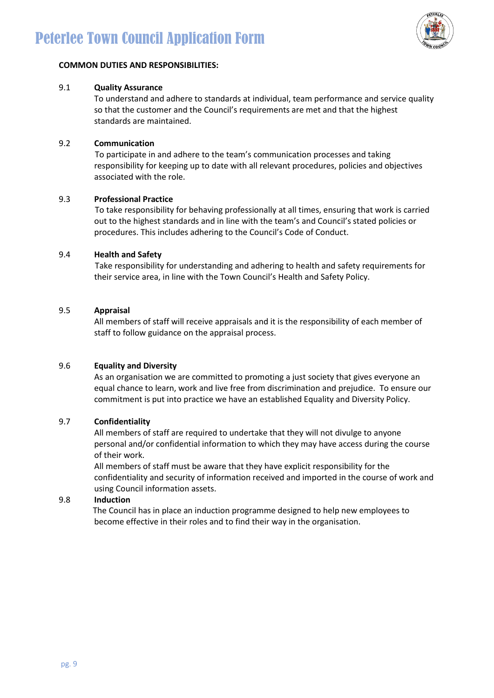

#### **COMMON DUTIES AND RESPONSIBILITIES:**

#### 9.1 **Quality Assurance**

To understand and adhere to standards at individual, team performance and service quality so that the customer and the Council's requirements are met and that the highest standards are maintained.

#### 9.2 **Communication**

 To participate in and adhere to the team's communication processes and taking responsibility for keeping up to date with all relevant procedures, policies and objectives associated with the role.

#### 9.3 **Professional Practice**

 To take responsibility for behaving professionally at all times, ensuring that work is carried out to the highest standards and in line with the team's and Council's stated policies or procedures. This includes adhering to the Council's Code of Conduct.

#### 9.4 **Health and Safety**

 Take responsibility for understanding and adhering to health and safety requirements for their service area, in line with the Town Council's Health and Safety Policy.

#### 9.5 **Appraisal**

All members of staff will receive appraisals and it is the responsibility of each member of staff to follow guidance on the appraisal process.

#### 9.6 **Equality and Diversity**

As an organisation we are committed to promoting a just society that gives everyone an equal chance to learn, work and live free from discrimination and prejudice. To ensure our commitment is put into practice we have an established Equality and Diversity Policy.

#### 9.7 **Confidentiality**

All members of staff are required to undertake that they will not divulge to anyone personal and/or confidential information to which they may have access during the course of their work.

All members of staff must be aware that they have explicit responsibility for the confidentiality and security of information received and imported in the course of work and using Council information assets.

#### 9.8 **Induction**

The Council has in place an induction programme designed to help new employees to become effective in their roles and to find their way in the organisation.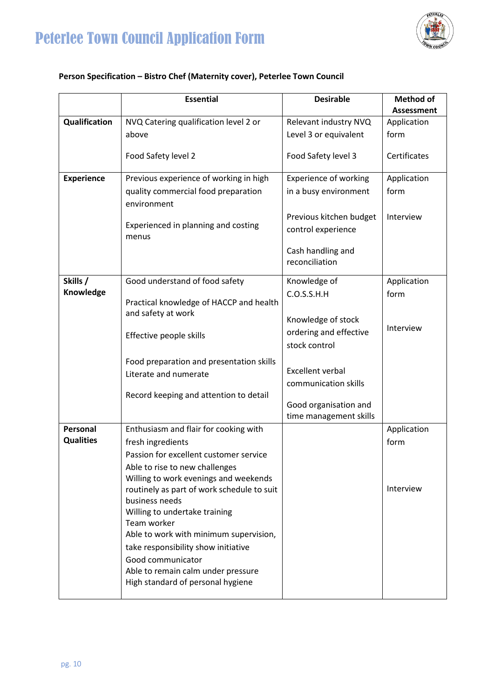

|                              | <b>Essential</b>                                                                                                                                                                                                                                                                                                                                                                                                                                                                 | <b>Desirable</b>                                                                                                                                                                                   | <b>Method of</b><br><b>Assessment</b>   |
|------------------------------|----------------------------------------------------------------------------------------------------------------------------------------------------------------------------------------------------------------------------------------------------------------------------------------------------------------------------------------------------------------------------------------------------------------------------------------------------------------------------------|----------------------------------------------------------------------------------------------------------------------------------------------------------------------------------------------------|-----------------------------------------|
| Qualification                | NVQ Catering qualification level 2 or<br>above<br>Food Safety level 2                                                                                                                                                                                                                                                                                                                                                                                                            | Relevant industry NVQ<br>Level 3 or equivalent<br>Food Safety level 3                                                                                                                              | Application<br>form<br>Certificates     |
| <b>Experience</b>            | Previous experience of working in high<br>quality commercial food preparation<br>environment<br>Experienced in planning and costing<br>menus                                                                                                                                                                                                                                                                                                                                     | <b>Experience of working</b><br>in a busy environment<br>Previous kitchen budget<br>control experience<br>Cash handling and<br>reconciliation                                                      | Application<br>form<br>Interview        |
| Skills /<br>Knowledge        | Good understand of food safety<br>Practical knowledge of HACCP and health<br>and safety at work<br>Effective people skills<br>Food preparation and presentation skills<br>Literate and numerate<br>Record keeping and attention to detail                                                                                                                                                                                                                                        | Knowledge of<br>C.O.S.S.H.H<br>Knowledge of stock<br>ordering and effective<br>stock control<br><b>Excellent verbal</b><br>communication skills<br>Good organisation and<br>time management skills | Application<br>form<br>Interview        |
| Personal<br><b>Qualities</b> | Enthusiasm and flair for cooking with<br>fresh ingredients<br>Passion for excellent customer service<br>Able to rise to new challenges<br>Willing to work evenings and weekends<br>routinely as part of work schedule to suit<br>business needs<br>Willing to undertake training<br>Team worker<br>Able to work with minimum supervision,<br>take responsibility show initiative<br>Good communicator<br>Able to remain calm under pressure<br>High standard of personal hygiene |                                                                                                                                                                                                    | Application<br>form<br><b>Interview</b> |

#### **Person Specification – Bistro Chef (Maternity cover), Peterlee Town Council**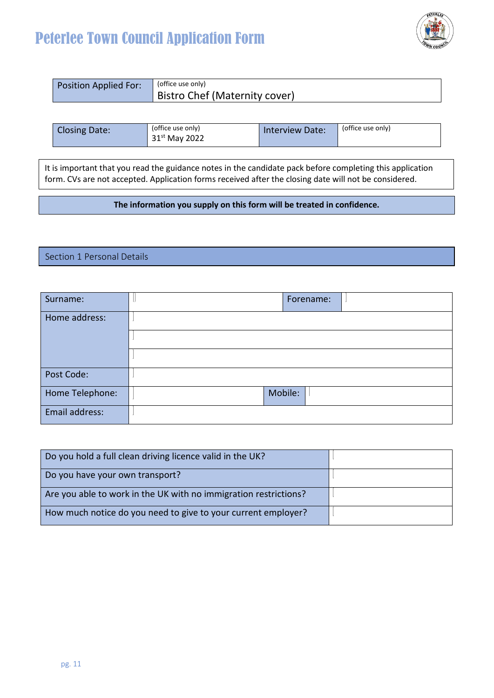

| Position Applied For: | (office use only)<br><b>Bistro Chef (Maternity cover)</b> |                        |                   |
|-----------------------|-----------------------------------------------------------|------------------------|-------------------|
|                       |                                                           |                        |                   |
| <b>Closing Date:</b>  | (office use only)<br>31 <sup>st</sup> May 2022            | <b>Interview Date:</b> | (office use only) |

It is important that you read the guidance notes in the candidate pack before completing this application form. CVs are not accepted. Application forms received after the closing date will not be considered.

#### **The information you supply on this form will be treated in confidence.**

Section 1 Personal Details

| Surname:        | Forename: |
|-----------------|-----------|
| Home address:   |           |
|                 |           |
|                 |           |
| Post Code:      |           |
| Home Telephone: | Mobile:   |
| Email address:  |           |

| Do you hold a full clean driving licence valid in the UK?        |  |
|------------------------------------------------------------------|--|
| Do you have your own transport?                                  |  |
| Are you able to work in the UK with no immigration restrictions? |  |
| How much notice do you need to give to your current employer?    |  |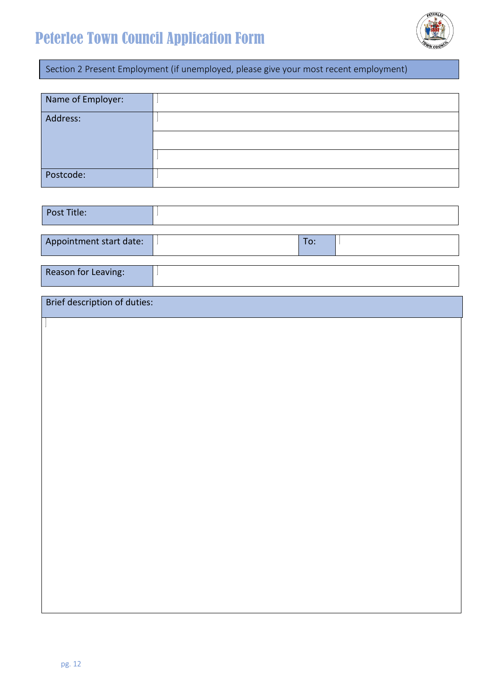

### Section 2 Present Employment (if unemployed, please give your most recent employment)

| Name of Employer: |  |
|-------------------|--|
| Address:          |  |
|                   |  |
|                   |  |
| Postcode:         |  |

| $D \cap ct$<br><b>HITIE</b> . |  |
|-------------------------------|--|
|                               |  |

| Appointment start date: | $\sim$ |  |
|-------------------------|--------|--|
|                         |        |  |

| Reason for Leaving: |  |
|---------------------|--|
|                     |  |

|  | Brief description of duties: |  |
|--|------------------------------|--|
|--|------------------------------|--|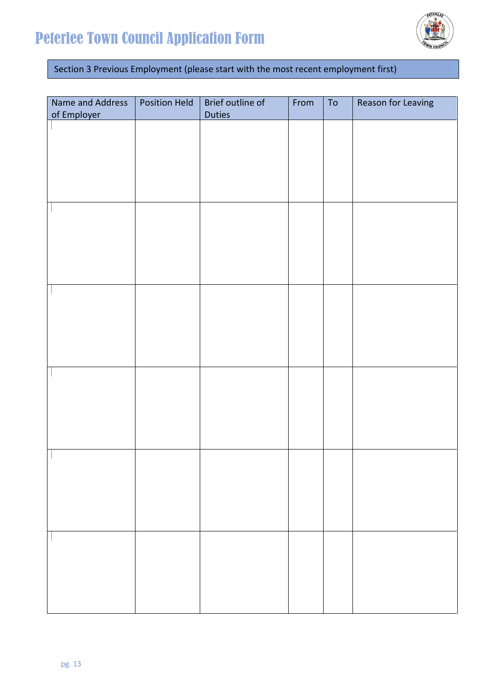

#### Section 3 Previous Employment (please start with the most recent employment first)

| Name and Address | Position Held | Brief outline of | From | To | Reason for Leaving |
|------------------|---------------|------------------|------|----|--------------------|
| of Employer      |               | <b>Duties</b>    |      |    |                    |
|                  |               |                  |      |    |                    |
|                  |               |                  |      |    |                    |
|                  |               |                  |      |    |                    |
|                  |               |                  |      |    |                    |
|                  |               |                  |      |    |                    |
|                  |               |                  |      |    |                    |
|                  |               |                  |      |    |                    |
|                  |               |                  |      |    |                    |
|                  |               |                  |      |    |                    |
|                  |               |                  |      |    |                    |
|                  |               |                  |      |    |                    |
|                  |               |                  |      |    |                    |
|                  |               |                  |      |    |                    |
|                  |               |                  |      |    |                    |
|                  |               |                  |      |    |                    |
|                  |               |                  |      |    |                    |
|                  |               |                  |      |    |                    |
|                  |               |                  |      |    |                    |
|                  |               |                  |      |    |                    |
|                  |               |                  |      |    |                    |
|                  |               |                  |      |    |                    |
|                  |               |                  |      |    |                    |
|                  |               |                  |      |    |                    |
|                  |               |                  |      |    |                    |
|                  |               |                  |      |    |                    |
|                  |               |                  |      |    |                    |
|                  |               |                  |      |    |                    |
|                  |               |                  |      |    |                    |
|                  |               |                  |      |    |                    |
|                  |               |                  |      |    |                    |
|                  |               |                  |      |    |                    |
|                  |               |                  |      |    |                    |
|                  |               |                  |      |    |                    |
|                  |               |                  |      |    |                    |
|                  |               |                  |      |    |                    |
|                  |               |                  |      |    |                    |
|                  |               |                  |      |    |                    |
|                  |               |                  |      |    |                    |
|                  |               |                  |      |    |                    |
|                  |               |                  |      |    |                    |
|                  |               |                  |      |    |                    |
|                  |               |                  |      |    |                    |
|                  |               |                  |      |    |                    |
|                  |               |                  |      |    |                    |
|                  |               |                  |      |    |                    |
|                  |               |                  |      |    |                    |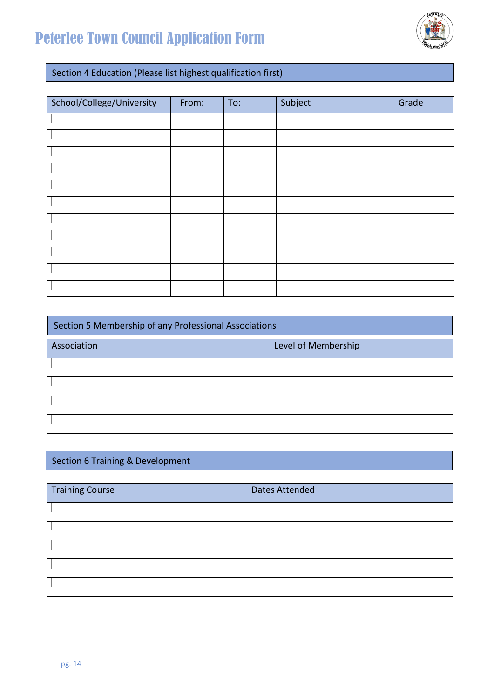

#### Section 4 Education (Please list highest qualification first)

| School/College/University | From: | To: | Subject | Grade |
|---------------------------|-------|-----|---------|-------|
|                           |       |     |         |       |
|                           |       |     |         |       |
|                           |       |     |         |       |
|                           |       |     |         |       |
|                           |       |     |         |       |
|                           |       |     |         |       |
|                           |       |     |         |       |
|                           |       |     |         |       |
|                           |       |     |         |       |
|                           |       |     |         |       |
|                           |       |     |         |       |

| Section 5 Membership of any Professional Associations |                     |  |  |  |
|-------------------------------------------------------|---------------------|--|--|--|
| Association                                           | Level of Membership |  |  |  |
|                                                       |                     |  |  |  |
|                                                       |                     |  |  |  |
|                                                       |                     |  |  |  |
|                                                       |                     |  |  |  |

## Section 6 Training & Development

| <b>Training Course</b> | <b>Dates Attended</b> |
|------------------------|-----------------------|
|                        |                       |
|                        |                       |
|                        |                       |
|                        |                       |
|                        |                       |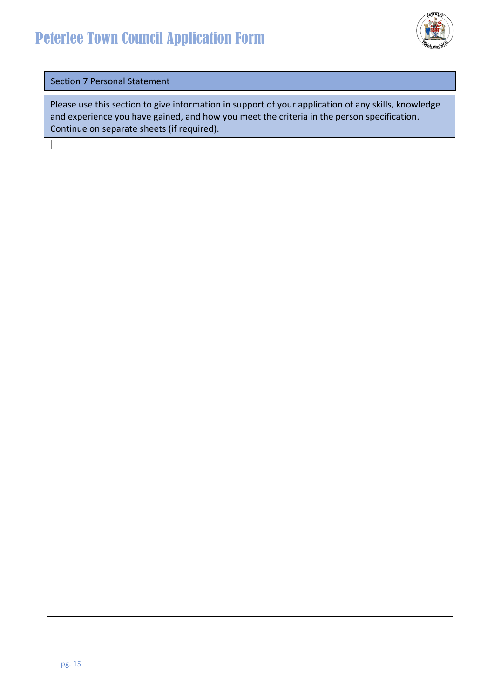

#### Section 7 Personal Statement

Please use this section to give information in support of your application of any skills, knowledge and experience you have gained, and how you meet the criteria in the person specification. Continue on separate sheets (if required).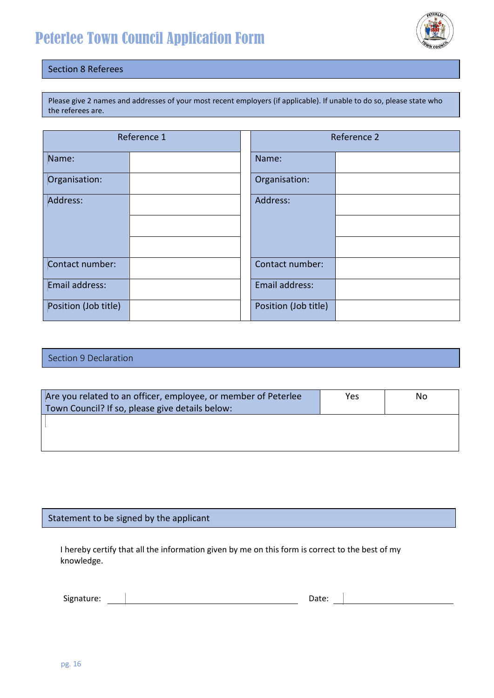

#### Section 8 Referees

Please give 2 names and addresses of your most recent employers (if applicable). If unable to do so, please state who the referees are.

|                      | Reference 1 | Reference 2          |  |
|----------------------|-------------|----------------------|--|
| Name:                |             | Name:                |  |
| Organisation:        |             | Organisation:        |  |
| Address:             |             | Address:             |  |
|                      |             |                      |  |
|                      |             |                      |  |
| Contact number:      |             | Contact number:      |  |
| Email address:       |             | Email address:       |  |
| Position (Job title) |             | Position (Job title) |  |

#### Section 9 Declaration

| Are you related to an officer, employee, or member of Peterlee<br>Town Council? If so, please give details below: | Yes | No |
|-------------------------------------------------------------------------------------------------------------------|-----|----|
|                                                                                                                   |     |    |
|                                                                                                                   |     |    |

### Statement to be signed by the applicant

I hereby certify that all the information given by me on this form is correct to the best of my knowledge.

Signature: Date: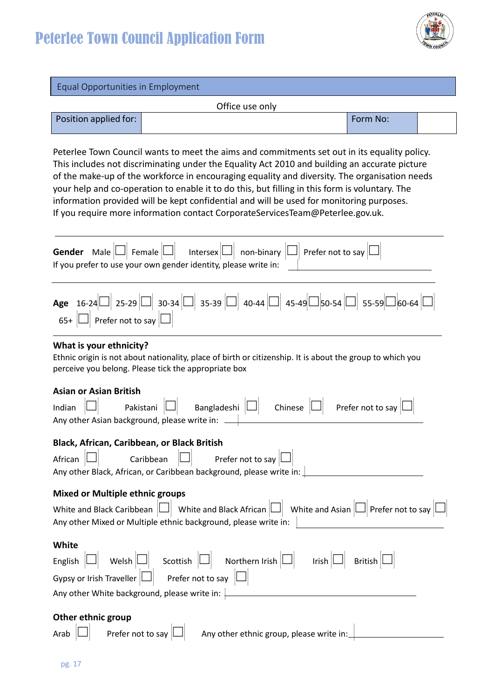

| Equal Opportunities in Employment                                                                                                                                                                                                                                                                                                                                                                                                                                                                                                                                              |                   |  |  |  |
|--------------------------------------------------------------------------------------------------------------------------------------------------------------------------------------------------------------------------------------------------------------------------------------------------------------------------------------------------------------------------------------------------------------------------------------------------------------------------------------------------------------------------------------------------------------------------------|-------------------|--|--|--|
| Office use only                                                                                                                                                                                                                                                                                                                                                                                                                                                                                                                                                                |                   |  |  |  |
| Position applied for:                                                                                                                                                                                                                                                                                                                                                                                                                                                                                                                                                          | Form No:          |  |  |  |
| Peterlee Town Council wants to meet the aims and commitments set out in its equality policy.<br>This includes not discriminating under the Equality Act 2010 and building an accurate picture<br>of the make-up of the workforce in encouraging equality and diversity. The organisation needs<br>your help and co-operation to enable it to do this, but filling in this form is voluntary. The<br>information provided will be kept confidential and will be used for monitoring purposes.<br>If you require more information contact CorporateServicesTeam@Peterlee.gov.uk. |                   |  |  |  |
| Intersex $\Box$ non-binary $\Box$ Prefer not to say $\Box$<br><b>Gender</b> Male $\left  \Box \right $ Female $\left  \Box \right $<br>If you prefer to use your own gender identity, please write in:                                                                                                                                                                                                                                                                                                                                                                         |                   |  |  |  |
| <b>Age</b> $16-24$ 25-29 $\Box$ 30-34 $\Box$ 35-39 $\Box$ 40-44 $\Box$ 45-49 $\Box$ 50-54 $\Box$ 55-59 $\Box$ 60-64 $\Box$<br>65+ $\Box$ Prefer not to say $\Box$                                                                                                                                                                                                                                                                                                                                                                                                              |                   |  |  |  |
| What is your ethnicity?<br>Ethnic origin is not about nationality, place of birth or citizenship. It is about the group to which you<br>perceive you belong. Please tick the appropriate box                                                                                                                                                                                                                                                                                                                                                                                   |                   |  |  |  |
| <b>Asian or Asian British</b><br>Bangladeshi L<br>Chinese<br>Pakistani L<br>Indian<br>Any other Asian background, please write in: _                                                                                                                                                                                                                                                                                                                                                                                                                                           | Prefer not to say |  |  |  |
| Black, African, Caribbean, or Black British<br>Prefer not to say<br>Caribbean<br>African<br>Any other Black, African, or Caribbean background, please write in: $\Box$                                                                                                                                                                                                                                                                                                                                                                                                         |                   |  |  |  |
| <b>Mixed or Multiple ethnic groups</b><br>White and Black Caribbean $\boxed{\Box}$ White and Black African $\boxed{\Box}$ White and Asian $\boxed{\Box}$ Prefer not to say $\boxed{\Box}$<br>Any other Mixed or Multiple ethnic background, please write in:                                                                                                                                                                                                                                                                                                                   |                   |  |  |  |
| White<br>English $\Box$ Welsh $\Box$ Scottish $\Box$ Northern Irish $\Box$ Irish $\Box$ British $\Box$<br>Gypsy or Irish Traveller $\Box$ Prefer not to say $\Box$                                                                                                                                                                                                                                                                                                                                                                                                             |                   |  |  |  |
| Other ethnic group<br>Any other ethnic group, please write in:<br>Prefer not to say<br>Arab                                                                                                                                                                                                                                                                                                                                                                                                                                                                                    |                   |  |  |  |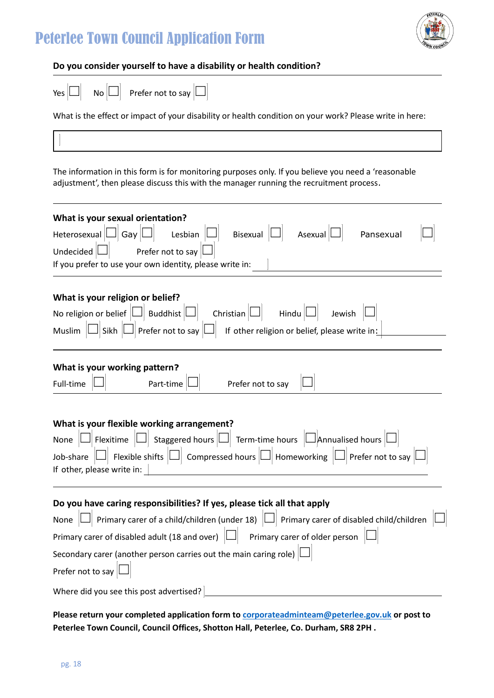

#### **Do you consider yourself to have a disability or health condition?**

| $\overline{\mathsf{No}}$ Prefer not to say $\overline{\mathsf{C}}$<br>Yes                                                                                                                                                                                                                                                                                                                                                                                                                                               |
|-------------------------------------------------------------------------------------------------------------------------------------------------------------------------------------------------------------------------------------------------------------------------------------------------------------------------------------------------------------------------------------------------------------------------------------------------------------------------------------------------------------------------|
| What is the effect or impact of your disability or health condition on your work? Please write in here:                                                                                                                                                                                                                                                                                                                                                                                                                 |
|                                                                                                                                                                                                                                                                                                                                                                                                                                                                                                                         |
| The information in this form is for monitoring purposes only. If you believe you need a 'reasonable<br>adjustment', then please discuss this with the manager running the recruitment process.                                                                                                                                                                                                                                                                                                                          |
| What is your sexual orientation?<br>Heterosexual $\boxed{\square}$ Gay $\boxed{\square}$ Lesbian $\boxed{\square}$ Bisexual $\boxed{\square}$ Asexual $\boxed{\square}$ Pansexual<br>Undecided $\Box$ Prefer not to say $\Box$<br>If you prefer to use your own identity, please write in:                                                                                                                                                                                                                              |
| What is your religion or belief?<br>No religion or belief $\Box$ Buddhist $\Box$ Christian $\Box$ Hindu $\Box$ Jewish<br>Muslim $\Box$ Sikh $\Box$ Prefer not to say $\Box$<br>If other religion or belief, please write in:                                                                                                                                                                                                                                                                                            |
| What is your working pattern?<br>Full-time<br>Part-time<br>Prefer not to say                                                                                                                                                                                                                                                                                                                                                                                                                                            |
| What is your flexible working arrangement?<br>$\Box$ Flexitime $\Box$ Staggered hours $\Box$ Term-time hours $\Box$ Annualised hours<br>None $\ $<br>Flexible shifts $\Box$ Compressed hours $\Box$ Homeworking $\Box$ Prefer not to say<br>Job-share  L<br>If other, please write in:                                                                                                                                                                                                                                  |
| Do you have caring responsibilities? If yes, please tick all that apply<br>$\Box$ Primary carer of a child/children (under 18) $\vert\Box\vert$ Primary carer of disabled child/children<br>None<br>Primary carer of disabled adult (18 and over) $\Box$ Primary carer of older person $\Box$<br>Secondary carer (another person carries out the main caring role) $\Box$<br>Prefer not to say<br><u> 1980 - Andrea Station Barbara, amerikan personal (h. 1980).</u><br>Where did you see this post advertised? $\Box$ |

**Please return your completed application form to [corporateadminteam@peterlee.gov.uk](mailto:corporateadminteam@peterlee.gov.uk) or post to Peterlee Town Council, Council Offices, Shotton Hall, Peterlee, Co. Durham, SR8 2PH .**